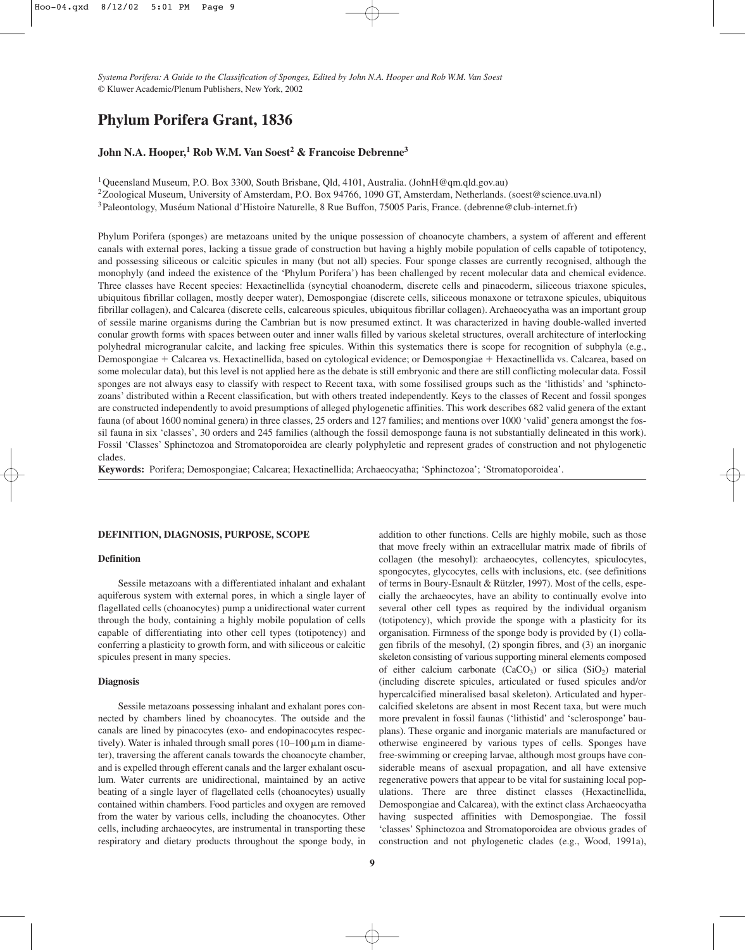*Systema Porifera: A Guide to the Classification of Sponges, Edited by John N.A. Hooper and Rob W.M. Van Soest* © Kluwer Academic/Plenum Publishers, New York, 2002

# **Phylum Porifera Grant, 1836**

# **John N.A. Hooper,<sup>1</sup> Rob W.M. Van Soest<sup>2</sup> & Francoise Debrenne3**

1Queensland Museum, P.O. Box 3300, South Brisbane, Qld, 4101, Australia. (JohnH@qm.qld.gov.au)

<sup>2</sup>Zoological Museum, University of Amsterdam, P.O. Box 94766, 1090 GT, Amsterdam, Netherlands. (soest@science.uva.nl) 3Paleontology, Muséum National d'Histoire Naturelle, 8 Rue Buffon, 75005 Paris, France. (debrenne@club-internet.fr)

Phylum Porifera (sponges) are metazoans united by the unique possession of choanocyte chambers, a system of afferent and efferent canals with external pores, lacking a tissue grade of construction but having a highly mobile population of cells capable of totipotency, and possessing siliceous or calcitic spicules in many (but not all) species. Four sponge classes are currently recognised, although the monophyly (and indeed the existence of the 'Phylum Porifera') has been challenged by recent molecular data and chemical evidence. Three classes have Recent species: Hexactinellida (syncytial choanoderm, discrete cells and pinacoderm, siliceous triaxone spicules, ubiquitous fibrillar collagen, mostly deeper water), Demospongiae (discrete cells, siliceous monaxone or tetraxone spicules, ubiquitous fibrillar collagen), and Calcarea (discrete cells, calcareous spicules, ubiquitous fibrillar collagen). Archaeocyatha was an important group of sessile marine organisms during the Cambrian but is now presumed extinct. It was characterized in having double-walled inverted conular growth forms with spaces between outer and inner walls filled by various skeletal structures, overall architecture of interlocking polyhedral microgranular calcite, and lacking free spicules. Within this systematics there is scope for recognition of subphyla (e.g., Demospongiae + Calcarea vs. Hexactinellida, based on cytological evidence; or Demospongiae + Hexactinellida vs. Calcarea, based on some molecular data), but this level is not applied here as the debate is still embryonic and there are still conflicting molecular data. Fossil sponges are not always easy to classify with respect to Recent taxa, with some fossilised groups such as the 'lithistids' and 'sphinctozoans' distributed within a Recent classification, but with others treated independently. Keys to the classes of Recent and fossil sponges are constructed independently to avoid presumptions of alleged phylogenetic affinities. This work describes 682 valid genera of the extant fauna (of about 1600 nominal genera) in three classes, 25 orders and 127 families; and mentions over 1000 'valid' genera amongst the fossil fauna in six 'classes', 30 orders and 245 families (although the fossil demosponge fauna is not substantially delineated in this work). Fossil 'Classes' Sphinctozoa and Stromatoporoidea are clearly polyphyletic and represent grades of construction and not phylogenetic clades.

**Keywords:** Porifera; Demospongiae; Calcarea; Hexactinellida; Archaeocyatha; 'Sphinctozoa'; 'Stromatoporoidea'.

#### **DEFINITION, DIAGNOSIS, PURPOSE, SCOPE**

#### **Definition**

Sessile metazoans with a differentiated inhalant and exhalant aquiferous system with external pores, in which a single layer of flagellated cells (choanocytes) pump a unidirectional water current through the body, containing a highly mobile population of cells capable of differentiating into other cell types (totipotency) and conferring a plasticity to growth form, and with siliceous or calcitic spicules present in many species.

#### **Diagnosis**

Sessile metazoans possessing inhalant and exhalant pores connected by chambers lined by choanocytes. The outside and the canals are lined by pinacocytes (exo- and endopinacocytes respectively). Water is inhaled through small pores  $(10-100 \,\mu m)$  in diameter), traversing the afferent canals towards the choanocyte chamber, and is expelled through efferent canals and the larger exhalant osculum. Water currents are unidirectional, maintained by an active beating of a single layer of flagellated cells (choanocytes) usually contained within chambers. Food particles and oxygen are removed from the water by various cells, including the choanocytes. Other cells, including archaeocytes, are instrumental in transporting these respiratory and dietary products throughout the sponge body, in several other cell types as required by the individual organism (totipotency), which provide the sponge with a plasticity for its organisation. Firmness of the sponge body is provided by (1) collagen fibrils of the mesohyl, (2) spongin fibres, and (3) an inorganic skeleton consisting of various supporting mineral elements composed of either calcium carbonate  $(CaCO<sub>3</sub>)$  or silica  $(SiO<sub>2</sub>)$  material (including discrete spicules, articulated or fused spicules and/or hypercalcified mineralised basal skeleton). Articulated and hypercalcified skeletons are absent in most Recent taxa, but were much more prevalent in fossil faunas ('lithistid' and 'sclerosponge' bauplans). These organic and inorganic materials are manufactured or otherwise engineered by various types of cells. Sponges have free-swimming or creeping larvae, although most groups have considerable means of asexual propagation, and all have extensive regenerative powers that appear to be vital for sustaining local populations. There are three distinct classes (Hexactinellida, Demospongiae and Calcarea), with the extinct class Archaeocyatha having suspected affinities with Demospongiae. The fossil 'classes' Sphinctozoa and Stromatoporoidea are obvious grades of construction and not phylogenetic clades (e.g., Wood, 1991a),

addition to other functions. Cells are highly mobile, such as those that move freely within an extracellular matrix made of fibrils of collagen (the mesohyl): archaeocytes, collencytes, spiculocytes, spongocytes, glycocytes, cells with inclusions, etc. (see definitions of terms in Boury-Esnault & Rützler, 1997). Most of the cells, especially the archaeocytes, have an ability to continually evolve into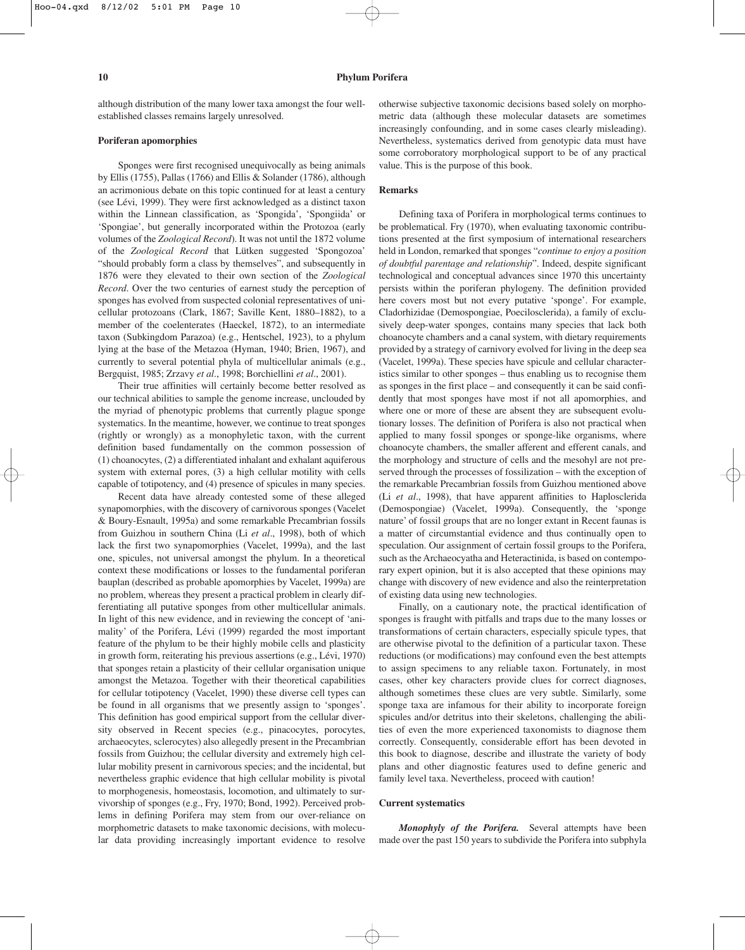although distribution of the many lower taxa amongst the four wellestablished classes remains largely unresolved.

#### **Poriferan apomorphies**

Sponges were first recognised unequivocally as being animals by Ellis (1755), Pallas (1766) and Ellis & Solander (1786), although an acrimonious debate on this topic continued for at least a century (see Lévi, 1999). They were first acknowledged as a distinct taxon within the Linnean classification, as 'Spongida', 'Spongiida' or 'Spongiae', but generally incorporated within the Protozoa (early volumes of the *Zoological Record*). It was not until the 1872 volume of the *Zoological Record* that Lütken suggested 'Spongozoa' "should probably form a class by themselves", and subsequently in 1876 were they elevated to their own section of the *Zoological Record*. Over the two centuries of earnest study the perception of sponges has evolved from suspected colonial representatives of unicellular protozoans (Clark, 1867; Saville Kent, 1880–1882), to a member of the coelenterates (Haeckel, 1872), to an intermediate taxon (Subkingdom Parazoa) (e.g., Hentschel, 1923), to a phylum lying at the base of the Metazoa (Hyman, 1940; Brien, 1967), and currently to several potential phyla of multicellular animals (e.g., Bergquist, 1985; Zrzavy *et al*., 1998; Borchiellini *et al*., 2001).

Their true affinities will certainly become better resolved as our technical abilities to sample the genome increase, unclouded by the myriad of phenotypic problems that currently plague sponge systematics. In the meantime, however, we continue to treat sponges (rightly or wrongly) as a monophyletic taxon, with the current definition based fundamentally on the common possession of (1) choanocytes, (2) a differentiated inhalant and exhalant aquiferous system with external pores, (3) a high cellular motility with cells capable of totipotency, and (4) presence of spicules in many species.

Recent data have already contested some of these alleged synapomorphies, with the discovery of carnivorous sponges (Vacelet & Boury-Esnault, 1995a) and some remarkable Precambrian fossils from Guizhou in southern China (Li *et al*., 1998), both of which lack the first two synapomorphies (Vacelet, 1999a), and the last one, spicules, not universal amongst the phylum. In a theoretical context these modifications or losses to the fundamental poriferan bauplan (described as probable apomorphies by Vacelet, 1999a) are no problem, whereas they present a practical problem in clearly differentiating all putative sponges from other multicellular animals. In light of this new evidence, and in reviewing the concept of 'animality' of the Porifera, Lévi (1999) regarded the most important feature of the phylum to be their highly mobile cells and plasticity in growth form, reiterating his previous assertions (e.g., Lévi, 1970) that sponges retain a plasticity of their cellular organisation unique amongst the Metazoa. Together with their theoretical capabilities for cellular totipotency (Vacelet, 1990) these diverse cell types can be found in all organisms that we presently assign to 'sponges'. This definition has good empirical support from the cellular diversity observed in Recent species (e.g., pinacocytes, porocytes, archaeocytes, sclerocytes) also allegedly present in the Precambrian fossils from Guizhou; the cellular diversity and extremely high cellular mobility present in carnivorous species; and the incidental, but nevertheless graphic evidence that high cellular mobility is pivotal to morphogenesis, homeostasis, locomotion, and ultimately to survivorship of sponges (e.g., Fry, 1970; Bond, 1992). Perceived problems in defining Porifera may stem from our over-reliance on morphometric datasets to make taxonomic decisions, with molecular data providing increasingly important evidence to resolve otherwise subjective taxonomic decisions based solely on morphometric data (although these molecular datasets are sometimes increasingly confounding, and in some cases clearly misleading). Nevertheless, systematics derived from genotypic data must have some corroboratory morphological support to be of any practical value. This is the purpose of this book.

#### **Remarks**

Defining taxa of Porifera in morphological terms continues to be problematical. Fry (1970), when evaluating taxonomic contributions presented at the first symposium of international researchers held in London, remarked that sponges "*continue to enjoy a position of doubtful parentage and relationship*". Indeed, despite significant technological and conceptual advances since 1970 this uncertainty persists within the poriferan phylogeny. The definition provided here covers most but not every putative 'sponge'. For example, Cladorhizidae (Demospongiae, Poecilosclerida), a family of exclusively deep-water sponges, contains many species that lack both choanocyte chambers and a canal system, with dietary requirements provided by a strategy of carnivory evolved for living in the deep sea (Vacelet, 1999a). These species have spicule and cellular characteristics similar to other sponges – thus enabling us to recognise them as sponges in the first place – and consequently it can be said confidently that most sponges have most if not all apomorphies, and where one or more of these are absent they are subsequent evolutionary losses. The definition of Porifera is also not practical when applied to many fossil sponges or sponge-like organisms, where choanocyte chambers, the smaller afferent and efferent canals, and the morphology and structure of cells and the mesohyl are not preserved through the processes of fossilization – with the exception of the remarkable Precambrian fossils from Guizhou mentioned above (Li *et al*., 1998), that have apparent affinities to Haplosclerida (Demospongiae) (Vacelet, 1999a). Consequently, the 'sponge nature' of fossil groups that are no longer extant in Recent faunas is a matter of circumstantial evidence and thus continually open to speculation. Our assignment of certain fossil groups to the Porifera, such as the Archaeocyatha and Heteractinida, is based on contemporary expert opinion, but it is also accepted that these opinions may change with discovery of new evidence and also the reinterpretation of existing data using new technologies.

Finally, on a cautionary note, the practical identification of sponges is fraught with pitfalls and traps due to the many losses or transformations of certain characters, especially spicule types, that are otherwise pivotal to the definition of a particular taxon. These reductions (or modifications) may confound even the best attempts to assign specimens to any reliable taxon. Fortunately, in most cases, other key characters provide clues for correct diagnoses, although sometimes these clues are very subtle. Similarly, some sponge taxa are infamous for their ability to incorporate foreign spicules and/or detritus into their skeletons, challenging the abilities of even the more experienced taxonomists to diagnose them correctly. Consequently, considerable effort has been devoted in this book to diagnose, describe and illustrate the variety of body plans and other diagnostic features used to define generic and family level taxa. Nevertheless, proceed with caution!

#### **Current systematics**

*Monophyly of the Porifera.* Several attempts have been made over the past 150 years to subdivide the Porifera into subphyla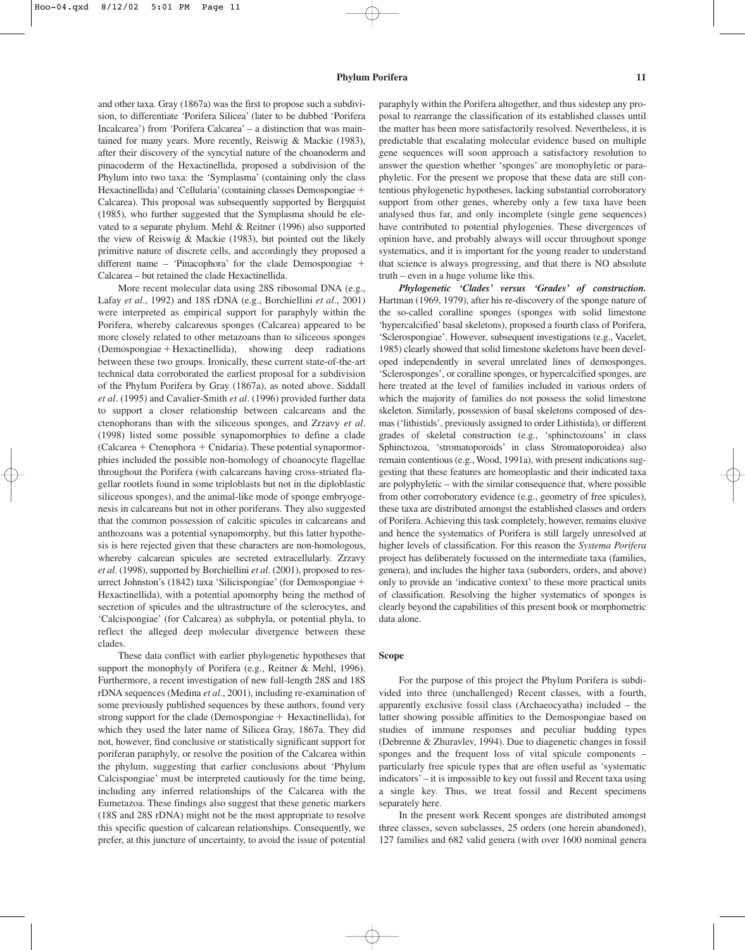and other taxa. Gray (1867a) was the first to propose such a subdivision, to differentiate 'Porifera Silicea' (later to be dubbed 'Porifera Incalcarea') from 'Porifera Calcarea' – a distinction that was maintained for many years. More recently, Reiswig & Mackie (1983), after their discovery of the syncytial nature of the choanoderm and pinacoderm of the Hexactinellida, proposed a subdivision of the Phylum into two taxa: the 'Symplasma' (containing only the class Hexactinellida) and 'Cellularia' (containing classes Demospongiae + Calcarea). This proposal was subsequently supported by Bergquist (1985), who further suggested that the Symplasma should be elevated to a separate phylum. Mehl & Reitner (1996) also supported the view of Reiswig & Mackie (1983), but pointed out the likely primitive nature of discrete cells, and accordingly they proposed a different name – 'Pinacophora' for the clade Demospongiae + Calcarea – but retained the clade Hexactinellida.

More recent molecular data using 28S ribosomal DNA (e.g., Lafay *et al*., 1992) and 18S rDNA (e.g., Borchiellini *et al*., 2001) were interpreted as empirical support for paraphyly within the Porifera, whereby calcareous sponges (Calcarea) appeared to be more closely related to other metazoans than to siliceous sponges (Demospongiae + Hexactinellida), showing deep radiations between these two groups. Ironically, these current state-of-the-art technical data corroborated the earliest proposal for a subdivision of the Phylum Porifera by Gray (1867a), as noted above. Siddall *et al*. (1995) and Cavalier-Smith *et al*. (1996) provided further data to support a closer relationship between calcareans and the ctenophorans than with the siliceous sponges, and Zrzavy *et al*. (1998) listed some possible synapomorphies to define a clade (Calcarea + Ctenophora + Cnidaria). These potential synapormorphies included the possible non-homology of choanocyte flagellae throughout the Porifera (with calcareans having cross-striated flagellar rootlets found in some triploblasts but not in the diploblastic siliceous sponges), and the animal-like mode of sponge embryogenesis in calcareans but not in other poriferans. They also suggested that the common possession of calcitic spicules in calcareans and anthozoans was a potential synapomorphy, but this latter hypothesis is here rejected given that these characters are non-homologous, whereby calcarean spicules are secreted extracellularly. Zrzavy *et al*. (1998), supported by Borchiellini *et al*. (2001), proposed to resurrect Johnston's (1842) taxa 'Silicispongiae' (for Demospongiae- Hexactinellida), with a potential apomorphy being the method of secretion of spicules and the ultrastructure of the sclerocytes, and 'Calcispongiae' (for Calcarea) as subphyla, or potential phyla, to reflect the alleged deep molecular divergence between these clades.

These data conflict with earlier phylogenetic hypotheses that support the monophyly of Porifera (e.g., Reitner & Mehl, 1996). Furthermore, a recent investigation of new full-length 28S and 18S rDNA sequences (Medina *et al*., 2001), including re-examination of some previously published sequences by these authors, found very strong support for the clade (Demospongiae + Hexactinellida), for which they used the later name of Silicea Gray, 1867a. They did not, however, find conclusive or statistically significant support for poriferan paraphyly, or resolve the position of the Calcarea within the phylum, suggesting that earlier conclusions about 'Phylum Calcispongiae' must be interpreted cautiously for the time being, including any inferred relationships of the Calcarea with the Eumetazoa. These findings also suggest that these genetic markers (18S and 28S rDNA) might not be the most appropriate to resolve this specific question of calcarean relationships. Consequently, we prefer, at this juncture of uncertainty, to avoid the issue of potential paraphyly within the Porifera altogether, and thus sidestep any proposal to rearrange the classification of its established classes until the matter has been more satisfactorily resolved. Nevertheless, it is predictable that escalating molecular evidence based on multiple gene sequences will soon approach a satisfactory resolution to answer the question whether 'sponges' are monophyletic or paraphyletic. For the present we propose that these data are still contentious phylogenetic hypotheses, lacking substantial corroboratory support from other genes, whereby only a few taxa have been analysed thus far, and only incomplete (single gene sequences) have contributed to potential phylogenies. These divergences of opinion have, and probably always will occur throughout sponge systematics, and it is important for the young reader to understand that science is always progressing, and that there is NO absolute truth – even in a huge volume like this.

*Phylogenetic 'Clades' versus 'Grades' of construction.* Hartman (1969, 1979), after his re-discovery of the sponge nature of the so-called coralline sponges (sponges with solid limestone 'hypercalcified' basal skeletons), proposed a fourth class of Porifera, 'Sclerospongiae'. However, subsequent investigations (e.g., Vacelet, 1985) clearly showed that solid limestone skeletons have been developed independently in several unrelated lines of demosponges. 'Sclerosponges', or coralline sponges, or hypercalcified sponges, are here treated at the level of families included in various orders of which the majority of families do not possess the solid limestone skeleton. Similarly, possession of basal skeletons composed of desmas ('lithistids', previously assigned to order Lithistida), or different grades of skeletal construction (e.g., 'sphinctozoans' in class Sphinctozoa, 'stromatoporoids' in class Stromatoporoidea) also remain contentious (e.g., Wood, 1991a), with present indications suggesting that these features are homeoplastic and their indicated taxa are polyphyletic – with the similar consequence that, where possible from other corroboratory evidence (e.g., geometry of free spicules), these taxa are distributed amongst the established classes and orders of Porifera. Achieving this task completely, however, remains elusive and hence the systematics of Porifera is still largely unresolved at higher levels of classification. For this reason the *Systema Porifera* project has deliberately focussed on the intermediate taxa (families, genera), and includes the higher taxa (suborders, orders, and above) only to provide an 'indicative context' to these more practical units of classification. Resolving the higher systematics of sponges is clearly beyond the capabilities of this present book or morphometric data alone.

#### **Scope**

For the purpose of this project the Phylum Porifera is subdivided into three (unchallenged) Recent classes, with a fourth, apparently exclusive fossil class (Archaeocyatha) included – the latter showing possible affinities to the Demospongiae based on studies of immune responses and peculiar budding types (Debrenne & Zhuravlev, 1994). Due to diagenetic changes in fossil sponges and the frequent loss of vital spicule components – particularly free spicule types that are often useful as 'systematic indicators' – it is impossible to key out fossil and Recent taxa using a single key. Thus, we treat fossil and Recent specimens separately here.

In the present work Recent sponges are distributed amongst three classes, seven subclasses, 25 orders (one herein abandoned), 127 families and 682 valid genera (with over 1600 nominal genera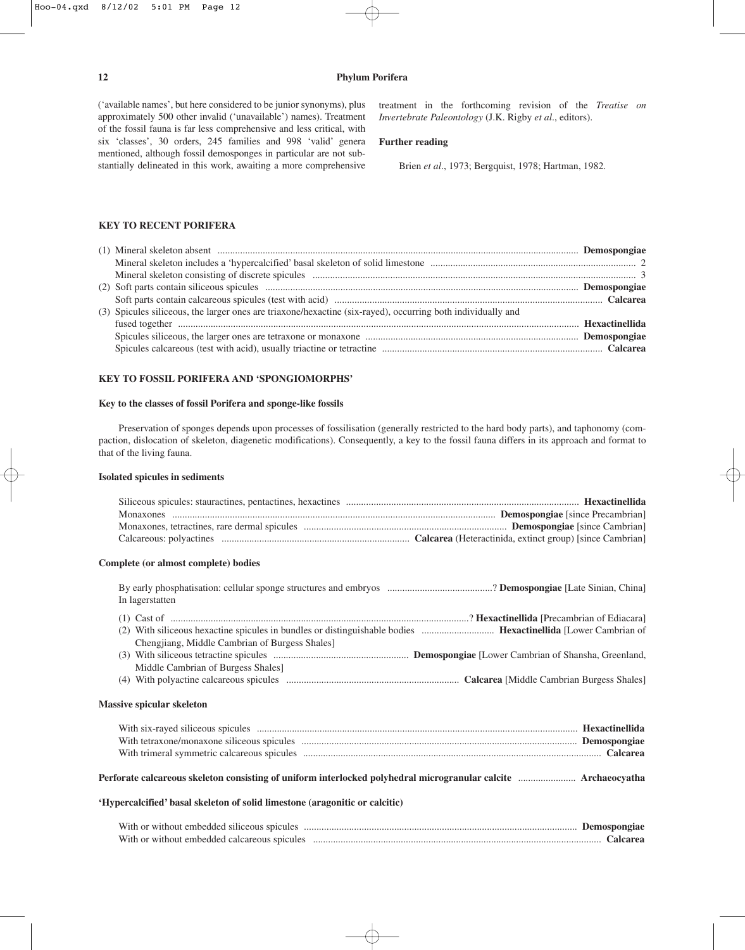('available names', but here considered to be junior synonyms), plus approximately 500 other invalid ('unavailable') names). Treatment of the fossil fauna is far less comprehensive and less critical, with six 'classes', 30 orders, 245 families and 998 'valid' genera mentioned, although fossil demosponges in particular are not substantially delineated in this work, awaiting a more comprehensive treatment in the forthcoming revision of the *Treatise on Invertebrate Paleontology* (J.K. Rigby *et al*., editors).

### **Further reading**

Brien *et al*., 1973; Bergquist, 1978; Hartman, 1982.

#### **KEY TO RECENT PORIFERA**

| (3) Spicules siliceous, the larger ones are triaxone/hexactine (six-rayed), occurring both individually and |  |
|-------------------------------------------------------------------------------------------------------------|--|
|                                                                                                             |  |
|                                                                                                             |  |
|                                                                                                             |  |

# **KEY TO FOSSIL PORIFERA AND 'SPONGIOMORPHS'**

#### **Key to the classes of fossil Porifera and sponge-like fossils**

Preservation of sponges depends upon processes of fossilisation (generally restricted to the hard body parts), and taphonomy (compaction, dislocation of skeleton, diagenetic modifications). Consequently, a key to the fossil fauna differs in its approach and format to that of the living fauna.

#### **Isolated spicules in sediments**

#### **Complete (or almost complete) bodies**

| Chengiiang, Middle Cambrian of Burgess Shales |
|-----------------------------------------------|
|                                               |
| Middle Cambrian of Burgess Shales]            |
|                                               |

| With six-raved siliceous spicules <i>manually contained and a contained and a series</i> <b>Hexactinellida</b> |  |
|----------------------------------------------------------------------------------------------------------------|--|
|                                                                                                                |  |
|                                                                                                                |  |

# **Perforate calcareous skeleton consisting of uniform interlocked polyhedral microgranular calcite** ....................... **Archaeocyatha**

#### **'Hypercalcified' basal skeleton of solid limestone (aragonitic or calcitic)**

| With or without embedded calcareous spicules | <b>Calcarea</b> |
|----------------------------------------------|-----------------|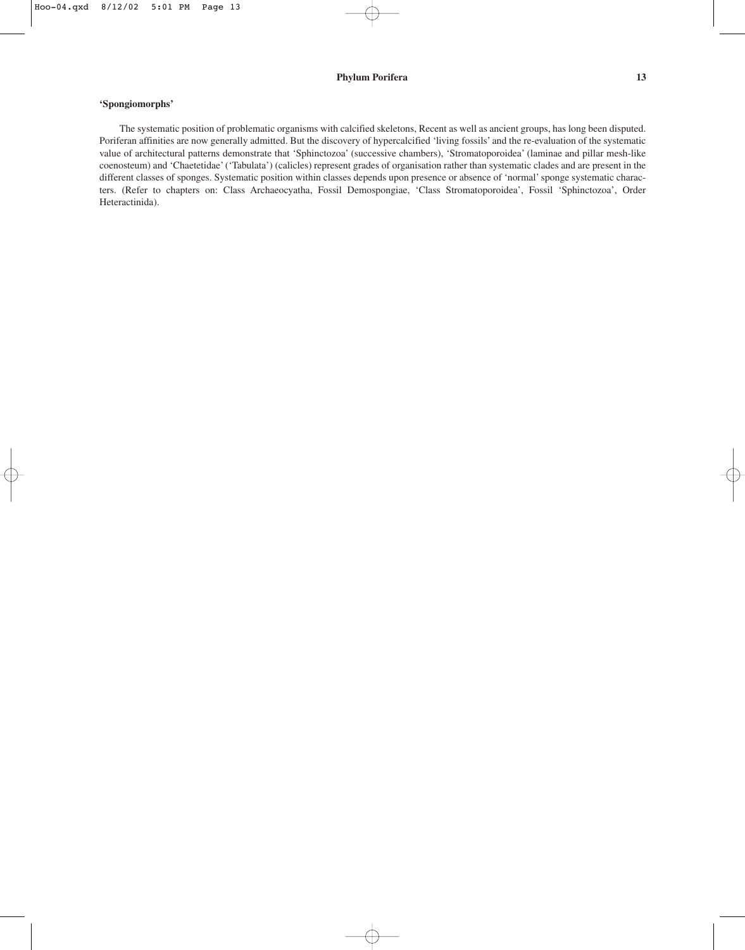#### **'Spongiomorphs'**

The systematic position of problematic organisms with calcified skeletons, Recent as well as ancient groups, has long been disputed. Poriferan affinities are now generally admitted. But the discovery of hypercalcified 'living fossils' and the re-evaluation of the systematic value of architectural patterns demonstrate that 'Sphinctozoa' (successive chambers), 'Stromatoporoidea' (laminae and pillar mesh-like coenosteum) and 'Chaetetidae' ('Tabulata') (calicles) represent grades of organisation rather than systematic clades and are present in the different classes of sponges. Systematic position within classes depends upon presence or absence of 'normal' sponge systematic characters. (Refer to chapters on: Class Archaeocyatha, Fossil Demospongiae, 'Class Stromatoporoidea', Fossil 'Sphinctozoa', Order Heteractinida).